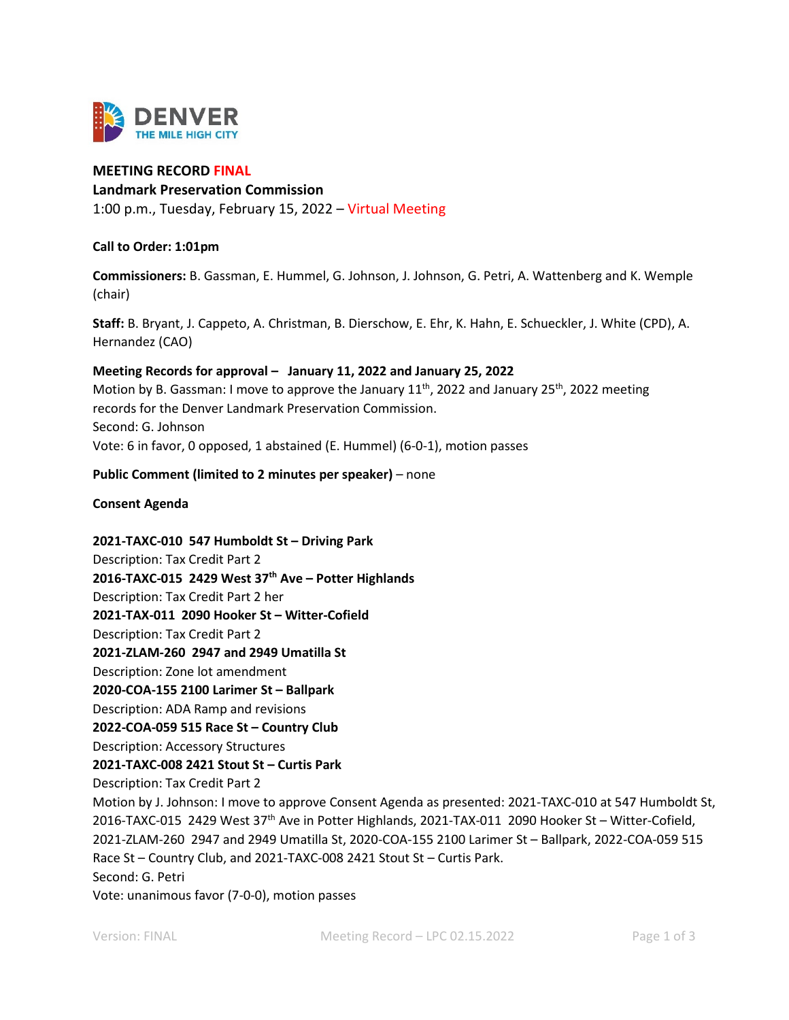

# **MEETING RECORD FINAL**

## **Landmark Preservation Commission**

1:00 p.m., Tuesday, February 15, 2022 – Virtual Meeting

## **Call to Order: 1:01pm**

**Commissioners:** B. Gassman, E. Hummel, G. Johnson, J. Johnson, G. Petri, A. Wattenberg and K. Wemple (chair)

**Staff:** B. Bryant, J. Cappeto, A. Christman, B. Dierschow, E. Ehr, K. Hahn, E. Schueckler, J. White (CPD), A. Hernandez (CAO)

### **Meeting Records for approval – January 11, 2022 and January 25, 2022**

Motion by B. Gassman: I move to approve the January  $11^{th}$ , 2022 and January  $25^{th}$ , 2022 meeting records for the Denver Landmark Preservation Commission. Second: G. Johnson Vote: 6 in favor, 0 opposed, 1 abstained (E. Hummel) (6-0-1), motion passes

### **Public Comment (limited to 2 minutes per speaker)** – none

#### **Consent Agenda**

**2021-TAXC-010 547 Humboldt St – Driving Park**  Description: Tax Credit Part 2 **2016-TAXC-015 2429 West 37th Ave – Potter Highlands**  Description: Tax Credit Part 2 her **2021-TAX-011 2090 Hooker St – Witter-Cofield** Description: Tax Credit Part 2 **2021-ZLAM-260 2947 and 2949 Umatilla St** Description: Zone lot amendment **2020-COA-155 2100 Larimer St – Ballpark**  Description: ADA Ramp and revisions **2022-COA-059 515 Race St – Country Club** Description: Accessory Structures **2021-TAXC-008 2421 Stout St – Curtis Park** Description: Tax Credit Part 2 Motion by J. Johnson: I move to approve Consent Agenda as presented: 2021-TAXC-010 at 547 Humboldt St, 2016-TAXC-015 2429 West 37<sup>th</sup> Ave in Potter Highlands, 2021-TAX-011 2090 Hooker St - Witter-Cofield, 2021-ZLAM-260 2947 and 2949 Umatilla St, 2020-COA-155 2100 Larimer St – Ballpark, 2022-COA-059 515 Race St – Country Club, and 2021-TAXC-008 2421 Stout St – Curtis Park. Second: G. Petri Vote: unanimous favor (7-0-0), motion passes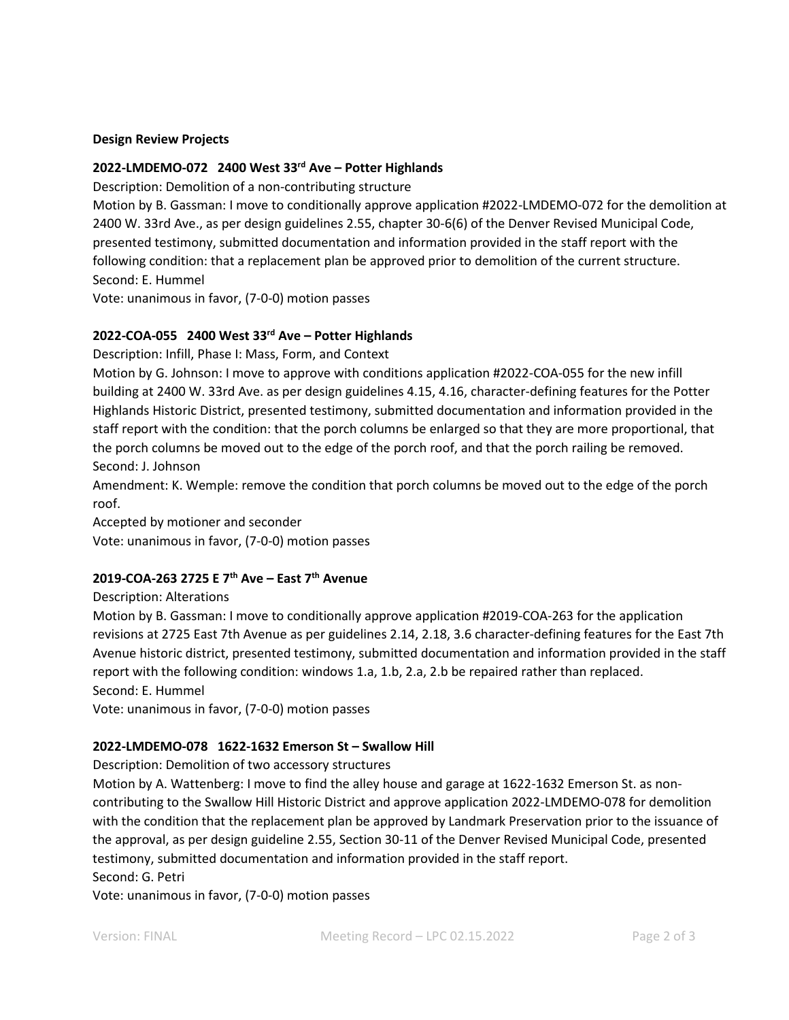#### **Design Review Projects**

# **2022-LMDEMO-072 2400 West 33rd Ave – Potter Highlands**

Description: Demolition of a non-contributing structure

Motion by B. Gassman: I move to conditionally approve application #2022-LMDEMO-072 for the demolition at 2400 W. 33rd Ave., as per design guidelines 2.55, chapter 30-6(6) of the Denver Revised Municipal Code, presented testimony, submitted documentation and information provided in the staff report with the following condition: that a replacement plan be approved prior to demolition of the current structure. Second: E. Hummel

Vote: unanimous in favor, (7-0-0) motion passes

## **2022-COA-055 2400 West 33rd Ave – Potter Highlands**

Description: Infill, Phase I: Mass, Form, and Context

Motion by G. Johnson: I move to approve with conditions application #2022-COA-055 for the new infill building at 2400 W. 33rd Ave. as per design guidelines 4.15, 4.16, character-defining features for the Potter Highlands Historic District, presented testimony, submitted documentation and information provided in the staff report with the condition: that the porch columns be enlarged so that they are more proportional, that the porch columns be moved out to the edge of the porch roof, and that the porch railing be removed. Second: J. Johnson

Amendment: K. Wemple: remove the condition that porch columns be moved out to the edge of the porch roof.

Accepted by motioner and seconder Vote: unanimous in favor, (7-0-0) motion passes

# **2019-COA-263 2725 E 7th Ave – East 7th Avenue**

Description: Alterations

Motion by B. Gassman: I move to conditionally approve application #2019-COA-263 for the application revisions at 2725 East 7th Avenue as per guidelines 2.14, 2.18, 3.6 character-defining features for the East 7th Avenue historic district, presented testimony, submitted documentation and information provided in the staff report with the following condition: windows 1.a, 1.b, 2.a, 2.b be repaired rather than replaced. Second: E. Hummel

Vote: unanimous in favor, (7-0-0) motion passes

#### **2022-LMDEMO-078 1622-1632 Emerson St – Swallow Hill**

Description: Demolition of two accessory structures

Motion by A. Wattenberg: I move to find the alley house and garage at 1622-1632 Emerson St. as noncontributing to the Swallow Hill Historic District and approve application 2022-LMDEMO-078 for demolition with the condition that the replacement plan be approved by Landmark Preservation prior to the issuance of the approval, as per design guideline 2.55, Section 30-11 of the Denver Revised Municipal Code, presented testimony, submitted documentation and information provided in the staff report.

# Second: G. Petri

Vote: unanimous in favor, (7-0-0) motion passes